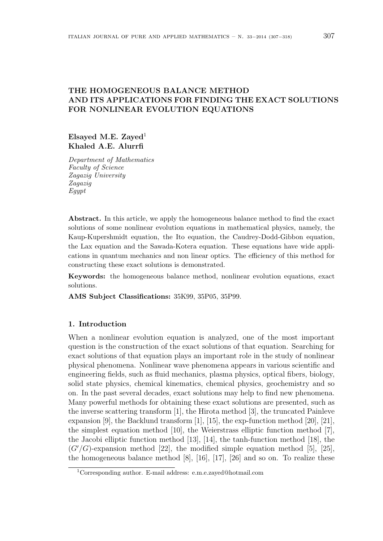# THE HOMOGENEOUS BALANCE METHOD AND ITS APPLICATIONS FOR FINDING THE EXACT SOLUTIONS FOR NONLINEAR EVOLUTION EQUATIONS

Elsayed M.E. Zayed<sup>1</sup> Khaled A.E. Alurrfi

Department of Mathematics Faculty of Science Zagazig University Zagazig Egypt

Abstract. In this article, we apply the homogeneous balance method to find the exact solutions of some nonlinear evolution equations in mathematical physics, namely, the Kaup-Kupershmidt equation, the Ito equation, the Caudrey-Dodd-Gibbon equation, the Lax equation and the Sawada-Kotera equation. These equations have wide applications in quantum mechanics and non linear optics. The efficiency of this method for constructing these exact solutions is demonstrated.

Keywords: the homogeneous balance method, nonlinear evolution equations, exact solutions.

AMS Subject Classifications: 35K99, 35P05, 35P99.

### 1. Introduction

When a nonlinear evolution equation is analyzed, one of the most important question is the construction of the exact solutions of that equation. Searching for exact solutions of that equation plays an important role in the study of nonlinear physical phenomena. Nonlinear wave phenomena appears in various scientific and engineering fields, such as fluid mechanics, plasma physics, optical fibers, biology, solid state physics, chemical kinematics, chemical physics, geochemistry and so on. In the past several decades, exact solutions may help to find new phenomena. Many powerful methods for obtaining these exact solutions are presented, such as the inverse scattering transform [1], the Hirota method [3], the truncated Painleve expansion [9], the Backlund transform [1], [15], the exp-function method [20], [21], the simplest equation method [10], the Weierstrass elliptic function method [7], the Jacobi elliptic function method [13], [14], the tanh-function method [18], the  $(G'/G)$ -expansion method [22], the modified simple equation method [5], [25], the homogeneous balance method [8], [16], [17], [26] and so on. To realize these

<sup>1</sup>Corresponding author. E-mail address: e.m.e.zayed@hotmail.com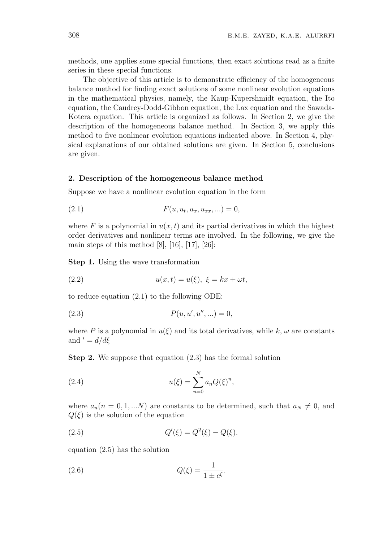methods, one applies some special functions, then exact solutions read as a finite series in these special functions.

The objective of this article is to demonstrate efficiency of the homogeneous balance method for finding exact solutions of some nonlinear evolution equations in the mathematical physics, namely, the Kaup-Kupershmidt equation, the Ito equation, the Caudrey-Dodd-Gibbon equation, the Lax equation and the Sawada-Kotera equation. This article is organized as follows. In Section 2, we give the description of the homogeneous balance method. In Section 3, we apply this method to five nonlinear evolution equations indicated above. In Section 4, physical explanations of our obtained solutions are given. In Section 5, conclusions are given.

### 2. Description of the homogeneous balance method

Suppose we have a nonlinear evolution equation in the form

(2.1) 
$$
F(u, u_t, u_x, u_{xx}, ...)=0,
$$

where F is a polynomial in  $u(x, t)$  and its partial derivatives in which the highest order derivatives and nonlinear terms are involved. In the following, we give the main steps of this method  $[8]$ ,  $[16]$ ,  $[17]$ ,  $[26]$ :

Step 1. Using the wave transformation

$$
(2.2) \t\t u(x,t) = u(\xi), \ \xi = kx + \omega t,
$$

to reduce equation (2.1) to the following ODE:

(2.3) 
$$
P(u, u', u'', \ldots) = 0,
$$

where P is a polynomial in  $u(\xi)$  and its total derivatives, while k,  $\omega$  are constants and  $d = d/d\xi$ 

Step 2. We suppose that equation (2.3) has the formal solution

(2.4) 
$$
u(\xi) = \sum_{n=0}^{N} a_n Q(\xi)^n,
$$

where  $a_n(n = 0, 1, ...N)$  are constants to be determined, such that  $a_N \neq 0$ , and  $Q(\xi)$  is the solution of the equation

(2.5) 
$$
Q'(\xi) = Q^2(\xi) - Q(\xi).
$$

equation (2.5) has the solution

(2.6) 
$$
Q(\xi) = \frac{1}{1 \pm e^{\xi}}.
$$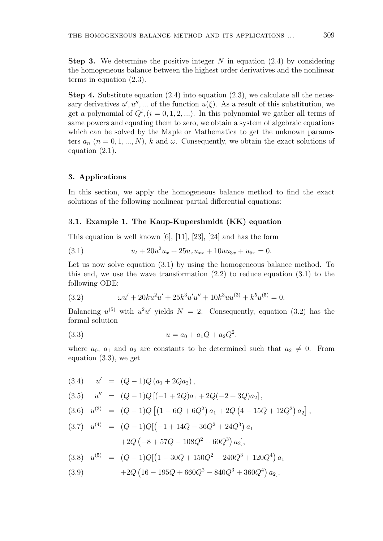**Step 3.** We determine the positive integer N in equation  $(2.4)$  by considering the homogeneous balance between the highest order derivatives and the nonlinear terms in equation (2.3).

**Step 4.** Substitute equation  $(2.4)$  into equation  $(2.3)$ , we calculate all the necessary derivatives  $u', u'', ...$  of the function  $u(\xi)$ . As a result of this substitution, we get a polynomial of  $Q^i$ ,  $(i = 0, 1, 2, ...)$ . In this polynomial we gather all terms of same powers and equating them to zero, we obtain a system of algebraic equations which can be solved by the Maple or Mathematica to get the unknown parameters  $a_n$   $(n = 0, 1, ..., N)$ , k and  $\omega$ . Consequently, we obtain the exact solutions of equation (2.1).

### 3. Applications

In this section, we apply the homogeneous balance method to find the exact solutions of the following nonlinear partial differential equations:

### 3.1. Example 1. The Kaup-Kupershmidt (KK) equation

This equation is well known [6], [11], [23], [24] and has the form

(3.1) 
$$
u_t + 20u^2u_x + 25u_xu_{xx} + 10uu_{3x} + u_{5x} = 0.
$$

Let us now solve equation (3.1) by using the homogeneous balance method. To this end, we use the wave transformation  $(2.2)$  to reduce equation  $(3.1)$  to the following ODE:

(3.2) 
$$
\omega u' + 20ku^2u' + 25k^3u'u'' + 10k^3uu^{(3)} + k^5u^{(5)} = 0.
$$

Balancing  $u^{(5)}$  with  $u^2u'$  yields  $N = 2$ . Consequently, equation (3.2) has the formal solution

(3.3) 
$$
u = a_0 + a_1 Q + a_2 Q^2,
$$

where  $a_0$ ,  $a_1$  and  $a_2$  are constants to be determined such that  $a_2 \neq 0$ . From equation (3.3), we get

$$
(3.4) \quad u' = (Q - 1)Q (a_1 + 2Qa_2),
$$
\n
$$
(3.5) \quad u'' = (Q - 1)Q [(-1 + 2Q)a_1 + 2Q(-2 + 3Q)a_2],
$$
\n
$$
(3.6) \quad u^{(3)} = (Q - 1)Q [(1 - 6Q + 6Q^2) a_1 + 2Q (4 - 15Q + 12Q^2) a_2],
$$
\n
$$
(3.7) \quad u^{(4)} = (Q - 1)Q [(-1 + 14Q - 36Q^2 + 24Q^3) a_1 + 2Q (-8 + 57Q - 108Q^2 + 60Q^3) a_2],
$$
\n
$$
(3.8) \quad u^{(5)} = (Q - 1)Q [(1 - 30Q + 150Q^2 - 240Q^3 + 120Q^4) a_1 + 2Q (16 - 195Q + 660Q^2 - 840Q^3 + 360Q^4) a_2].
$$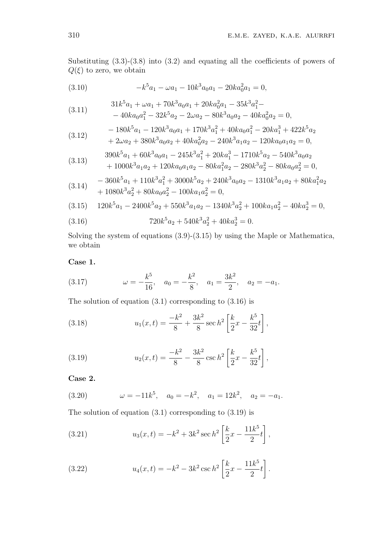Substituting  $(3.3)-(3.8)$  into  $(3.2)$  and equating all the coefficients of powers of  $Q(\xi)$  to zero, we obtain

(3.10) 
$$
-k^5 a_1 - \omega a_1 - 10k^3 a_0 a_1 - 20ka_0^2 a_1 = 0,
$$

(3.11) 
$$
31k^{5}a_{1} + \omega a_{1} + 70k^{3}a_{0}a_{1} + 20ka_{0}^{2}a_{1} - 35k^{3}a_{1}^{2} - 40ka_{0}a_{1}^{2} - 32k^{5}a_{2} - 2\omega a_{2} - 80k^{3}a_{0}a_{2} - 40ka_{0}^{2}a_{2} = 0,
$$

$$
(3.12) \qquad \qquad -180k^5a_1 - 120k^3a_0a_1 + 170k^3a_1^2 + 40ka_0a_1^2 - 20ka_1^3 + 422k^5a_2 + 2\omega a_2 + 380k^3a_0a_2 + 40ka_0^2a_2 - 240k^3a_1a_2 - 120ka_0a_1a_2 = 0,
$$

$$
(3.13) \qquad \begin{array}{c} 390k^5a_1 + 60k^3a_0a_1 - 245k^3a_1^2 + 20ka_1^3 - 1710k^5a_2 - 540k^3a_0a_2\\ 1200k^3 & 1200k^3 & 200k^3 & 200k^3 & 200k^3 \end{array}
$$

$$
+ 1000k^{3}a_{1}a_{2} + 120ka_{0}a_{1}a_{2} - 80ka_{1}^{2}a_{2} - 280k^{3}a_{2}^{2} - 80ka_{0}a_{2}^{2} = 0,
$$
  

$$
- 360k^{5}a_{1} + 110k^{3}a_{2}^{2} + 3000k^{5}a_{2} + 240k^{3}a_{2}a_{2} - 1310k^{3}a_{1}a_{2} + 80ka_{2}^{2}a_{2} + 1300k^{2}a_{2}^{2} = 0,
$$

$$
(3.14) \quad\n\begin{aligned}\n&-360k^3a_1 + 110k^3a_1^2 + 3000k^3a_2 + 240k^3a_0a_2 - 1310k^3a_1a_2 + 80ka_1a_2 \\
&+ 1080k^3a_2^2 + 80ka_0a_2^2 - 100ka_1a_2^2 = 0,\n\end{aligned}
$$

$$
(3.15) \quad 120k^5a_1 - 2400k^5a_2 + 550k^3a_1a_2 - 1340k^3a_2^2 + 100ka_1a_2^2 - 40ka_2^3 = 0,
$$

(3.16) 
$$
720k^5a_2 + 540k^3a_2^2 + 40ka_2^3 = 0.
$$

Solving the system of equations  $(3.9)$ - $(3.15)$  by using the Maple or Mathematica, we obtain

Case 1.

(3.17) 
$$
\omega = -\frac{k^5}{16}, \quad a_0 = -\frac{k^2}{8}, \quad a_1 = \frac{3k^2}{2}, \quad a_2 = -a_1
$$

The solution of equation  $(3.1)$  corresponding to  $(3.16)$  is

(3.18) 
$$
u_1(x,t) = \frac{-k^2}{8} + \frac{3k^2}{8} \sec h^2 \left[ \frac{k}{2} x - \frac{k^5}{32} t \right],
$$

(3.19) 
$$
u_2(x,t) = \frac{-k^2}{8} - \frac{3k^2}{8} \csc h^2 \left[ \frac{k}{2} x - \frac{k^5}{32} t \right],
$$

Case 2.

(3.20) 
$$
\omega = -11k^5, \quad a_0 = -k^2, \quad a_1 = 12k^2, \quad a_2 = -a_1.
$$

The solution of equation  $(3.1)$  corresponding to  $(3.19)$  is

(3.21) 
$$
u_3(x,t) = -k^2 + 3k^2 \sec h^2 \left[ \frac{k}{2} x - \frac{11k^5}{2} t \right],
$$

(3.22) 
$$
u_4(x,t) = -k^2 - 3k^2 \csc h^2 \left[ \frac{k}{2} x - \frac{11k^5}{2} t \right].
$$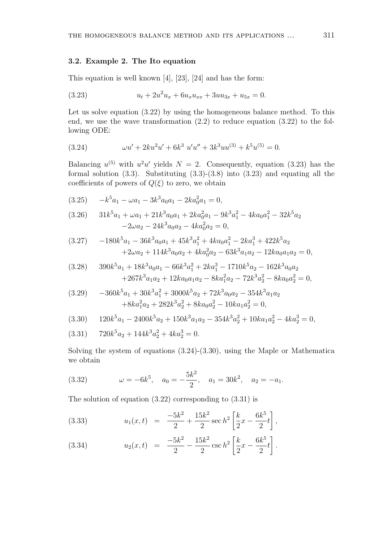### 3.2. Example 2. The Ito equation

This equation is well known [4], [23], [24] and has the form:

$$
(3.23) \t\t u_t + 2u^2u_x + 6u_xu_{xx} + 3uu_{3x} + u_{5x} = 0.
$$

Let us solve equation  $(3.22)$  by using the homogeneous balance method. To this end, we use the wave transformation  $(2.2)$  to reduce equation  $(3.22)$  to the following ODE:

(3.24) 
$$
\omega u' + 2ku^2u' + 6k^3 u'u'' + 3k^3uu^{(3)} + k^5u^{(5)} = 0.
$$

Balancing  $u^{(5)}$  with  $u^2u'$  yields  $N = 2$ . Consequently, equation (3.23) has the formal solution  $(3.3)$ . Substituting  $(3.3)-(3.8)$  into  $(3.23)$  and equating all the coefficients of powers of  $Q(\xi)$  to zero, we obtain

$$
(3.25) \t -k5a1 - \omega a1 - 3k3a0a1 - 2ka02a1 = 0,
$$

$$
(3.26) \t 31k5a1 + \omega a1 + 21k3a0a1 + 2ka02a1 - 9k3a12 - 4ka0a12 - 32k5a2-2\omega a2 - 24k3a0a2 - 4ka02a2 = 0,
$$

$$
(3.27) \t-180k5a1 - 36k3a0a1 + 45k3a12 + 4ka0a12 - 2ka13 + 422k5a2+2\omega a2 + 114k3a0a2 + 4ka02a2 - 63k3a1a2 - 12ka0a1a2 = 0,
$$

$$
(3.28) \qquad 390k^5a_1 + 18k^3a_0a_1 - 66k^3a_1^2 + 2ka_1^3 - 1710k^5a_2 - 162k^3a_0a_2
$$
  

$$
+267k^3a_1a_2 + 12ka_0a_1a_2 - 8ka_1^2a_2 - 72k^3a_2^2 - 8ka_0a_2^2 = 0
$$

$$
(3.29) \t-360k5a1 + 30k3a12 + 3000k5a2 + 72k3a0a2 - 354k3a1a2+8ka12a2 + 282k3a22 + 8ka0a22 - 10ka1a22 = 0,
$$

$$
(3.30) \qquad 120k^5a_1 - 2400k^5a_2 + 150k^3a_1a_2 - 354k^3a_2^2 + 10ka_1a_2^2 - 4ka_2^3 = 0,
$$

$$
(3.31) \t 720k^5a_2 + 144k^3a_2^2 + 4ka_2^3 = 0.
$$

Solving the system of equations  $(3.24)-(3.30)$ , using the Maple or Mathematica we obtain

(3.32) 
$$
\omega = -6k^5, \quad a_0 = -\frac{5k^2}{2}, \quad a_1 = 30k^2, \quad a_2 = -a_1.
$$

The solution of equation  $(3.22)$  corresponding to  $(3.31)$  is

(3.33) 
$$
u_1(x,t) = \frac{-5k^2}{2} + \frac{15k^2}{2} \sec h^2 \left[ \frac{k}{2} x - \frac{6k^5}{2} t \right],
$$

(3.34) 
$$
u_2(x,t) = \frac{-5k^2}{2} - \frac{15k^2}{2} \csc h^2 \left[ \frac{k}{2} x - \frac{6k^5}{2} t \right].
$$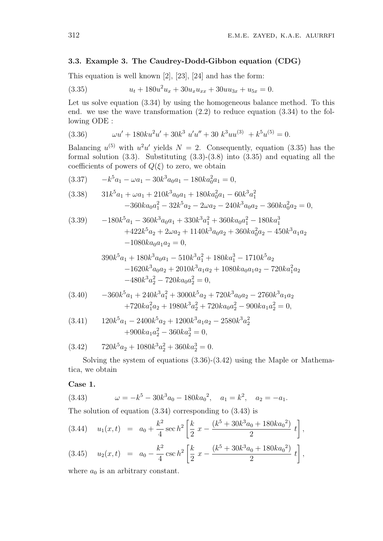### 3.3. Example 3. The Caudrey-Dodd-Gibbon equation (CDG)

This equation is well known  $[2]$ ,  $[23]$ ,  $[24]$  and has the form:

$$
(3.35) \t u_t + 180u^2u_x + 30u_xu_{xx} + 30uu_{3x} + u_{5x} = 0.
$$

Let us solve equation  $(3.34)$  by using the homogeneous balance method. To this end. we use the wave transformation  $(2.2)$  to reduce equation  $(3.34)$  to the following ODE :

$$
(3.36) \t\t\t \omega u' + 180ku^2u' + 30k^3 u'u'' + 30k^3uu^{(3)} + k^5u^{(5)} = 0.
$$

Balancing  $u^{(5)}$  with  $u^2u'$  yields  $N = 2$ . Consequently, equation (3.35) has the formal solution  $(3.3)$ . Substituting  $(3.3)-(3.8)$  into  $(3.35)$  and equating all the coefficients of powers of  $Q(\xi)$  to zero, we obtain

$$
(3.37) \qquad -k^5 a_1 - \omega a_1 - 30k^3 a_0 a_1 - 180ka_0^2 a_1 = 0,
$$

$$
(3.38) \t31k5a1 + \omega a1 + 210k3a0a1 + 180ka02a1 - 60k3a12-360ka0a12 - 32k5a2 - 2\omega a2 - 240k3a0a2 - 360ka02a2 = 0,
$$

$$
(3.39) \t-180k5a1 - 360k3a0a1 + 330k3a12 + 360ka0a12 - 180ka13+422k5a2 + 2\omega a2 + 1140k3a0a2 + 360ka02a2 - 450k3a1a2-1080ka0a1a2 = 0,
$$

$$
390k5a1 + 180k3a0a1 - 510k3a12 + 180ka13 - 1710k5a2
$$
  
-1620k<sup>3</sup>a<sub>0</sub>a<sub>2</sub> + 2010k<sup>3</sup>a<sub>1</sub>a<sub>2</sub> + 1080ka<sub>0</sub>a<sub>1</sub>a<sub>2</sub> - 720ka<sub>1</sub><sup>2</sup>a<sub>2</sub>  
-480k<sup>3</sup>a<sub>2</sub><sup>2</sup> - 720ka<sub>0</sub>a<sub>2</sub><sup>2</sup> = 0,

$$
(3.40) \t-360k5a1 + 240k3a12 + 3000k5a2 + 720k3a0a2 - 2760k3a1a2+720ka1a2 + 1980k3a22 + 720ka0a22 - 900ka1a22 = 0,
$$

(3.41) 
$$
120k^5a_1 - 2400k^5a_2 + 1200k^3a_1a_2 - 2580k^3a_2^2
$$

$$
+900ka_1a_2^2 - 360ka_2^3 = 0,
$$

$$
(3.42) \qquad 720k^5a_2 + 1080k^3a_2^2 + 360ka_2^3 = 0.
$$

Solving the system of equations  $(3.36)-(3.42)$  using the Maple or Mathematica, we obtain

Case 1.

(3.43) 
$$
\omega = -k^5 - 30k^3 a_0 - 180ka_0^2, \quad a_1 = k^2, \quad a_2 = -a_1.
$$

The solution of equation  $(3.34)$  corresponding to  $(3.43)$  is

$$
(3.44) \quad u_1(x,t) = a_0 + \frac{k^2}{4} \sec h^2 \left[ \frac{k}{2} \ x - \frac{(k^5 + 30k^3 a_0 + 180ka_0^2)}{2} \ t \right],
$$

$$
(3.45) \quad u_2(x,t) = a_0 - \frac{k^2}{4} \csc h^2 \left[ \frac{k}{2} \ x - \frac{(k^5 + 30k^3 a_0 + 180k a_0^2)}{2} \ t \right],
$$

where  $a_0$  is an arbitrary constant.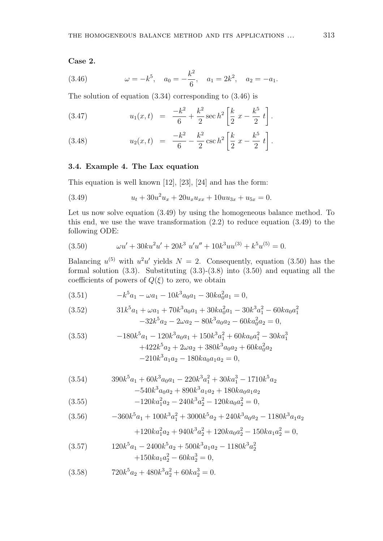#### Case 2.

(3.46) 
$$
\omega = -k^5, \quad a_0 = -\frac{k^2}{6}, \quad a_1 = 2k^2, \quad a_2 = -a_1.
$$

The solution of equation (3.34) corresponding to (3.46) is

(3.47) 
$$
u_1(x,t) = \frac{-k^2}{6} + \frac{k^2}{2} \sec h^2 \left[ \frac{k}{2} x - \frac{k^5}{2} t \right].
$$

(3.48) 
$$
u_2(x,t) = \frac{-k^2}{6} - \frac{k^2}{2} \csc h^2 \left[ \frac{k}{2} x - \frac{k^5}{2} t \right].
$$

# 3.4. Example 4. The Lax equation

This equation is well known [12], [23], [24] and has the form:

(3.49) 
$$
u_t + 30u^2u_x + 20u_xu_{xx} + 10uu_{3x} + u_{5x} = 0.
$$

Let us now solve equation (3.49) by using the homogeneous balance method. To this end, we use the wave transformation (2.2) to reduce equation (3.49) to the following ODE:

(3.50) 
$$
\omega u' + 30ku^2u' + 20k^3 u'u'' + 10k^3uu^{(3)} + k^5u^{(5)} = 0.
$$

Balancing  $u^{(5)}$  with  $u^2u'$  yields  $N = 2$ . Consequently, equation (3.50) has the formal solution  $(3.3)$ . Substituting  $(3.3)-(3.8)$  into  $(3.50)$  and equating all the coefficients of powers of  $Q(\xi)$  to zero, we obtain

$$
(3.51) \t -k5a1 - \omega a1 - 10k3a0a1 - 30ka02a1 = 0,
$$

(3.52) 
$$
31k^{5}a_{1} + \omega a_{1} + 70k^{3}a_{0}a_{1} + 30ka_{0}^{2}a_{1} - 30k^{3}a_{1}^{2} - 60ka_{0}a_{1}^{2} - 32k^{5}a_{2} - 2\omega a_{2} - 80k^{3}a_{0}a_{2} - 60ka_{0}^{2}a_{2} = 0,
$$

(3.53) 
$$
-180k^{5}a_{1} - 120k^{3}a_{0}a_{1} + 150k^{3}a_{1}^{2} + 60ka_{0}a_{1}^{2} - 30ka_{1}^{3}
$$

$$
+422k^{5}a_{2} + 2\omega a_{2} + 380k^{3}a_{0}a_{2} + 60ka_{0}^{2}a_{2}
$$

$$
-210k^{3}a_{1}a_{2} - 180ka_{0}a_{1}a_{2} = 0,
$$

(3.54) 
$$
390k^{5}a_{1} + 60k^{3}a_{0}a_{1} - 220k^{3}a_{1}^{2} + 30ka_{1}^{3} - 1710k^{5}a_{2} - 540k^{3}a_{0}a_{2} + 890k^{3}a_{1}a_{2} + 180ka_{0}a_{1}a_{2}
$$

(3.55) 
$$
-120ka_1^2a_2 - 240k^3a_2^2 - 120ka_0a_2^2 = 0,
$$

$$
(3.56) \qquad \qquad -360k^5a_1 + 100k^3a_1^2 + 3000k^5a_2 + 240k^3a_0a_2 - 1180k^3a_1a_2
$$

$$
+120ka_1^2a_2+940k^3a_2^2+120ka_0a_2^2-150ka_1a_2^2=0,
$$

(3.57) 
$$
120k^{5}a_{1} - 2400k^{5}a_{2} + 500k^{3}a_{1}a_{2} - 1180k^{3}a_{2}^{2} + 150ka_{1}a_{2}^{2} - 60ka_{2}^{3} = 0,
$$

(3.58) 
$$
720k^5a_2 + 480k^3a_2^2 + 60ka_2^3 = 0.
$$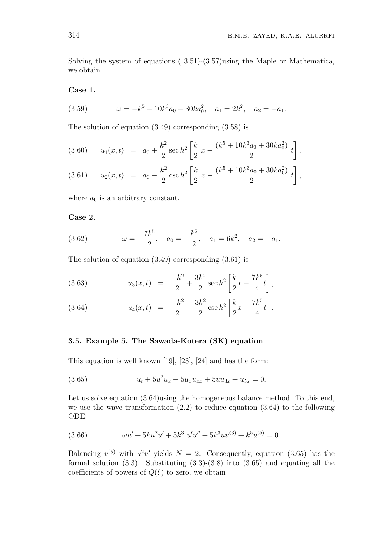Solving the system of equations ( 3.51)-(3.57)using the Maple or Mathematica, we obtain

Case 1.

(3.59) 
$$
\omega = -k^5 - 10k^3 a_0 - 30ka_0^2, \quad a_1 = 2k^2, \quad a_2 = -a_1.
$$

The solution of equation (3.49) corresponding (3.58) is

$$
(3.60) \t u1(x,t) = a0 + \frac{k^2}{2} \sec h^2 \left[ \frac{k}{2} x - \frac{(k^5 + 10k^3 a_0 + 30ka_0^2)}{2} t \right],
$$

(3.61) 
$$
u_2(x,t) = a_0 - \frac{k^2}{2} \csc h^2 \left[ \frac{k}{2} x - \frac{(k^5 + 10k^3a_0 + 30ka_0^2)}{2} t \right],
$$

where  $a_0$  is an arbitrary constant.

### Case 2.

(3.62) 
$$
\omega = -\frac{7k^5}{2}, \quad a_0 = -\frac{k^2}{2}, \quad a_1 = 6k^2, \quad a_2 = -a_1.
$$

The solution of equation (3.49) corresponding (3.61) is

(3.63) 
$$
u_3(x,t) = \frac{-k^2}{2} + \frac{3k^2}{2} \sec h^2 \left[ \frac{k}{2} x - \frac{7k^5}{4} t \right],
$$

(3.64) 
$$
u_4(x,t) = \frac{-k^2}{2} - \frac{3k^2}{2} \csc h^2 \left[ \frac{k}{2} x - \frac{7k^5}{4} t \right].
$$

# 3.5. Example 5. The Sawada-Kotera (SK) equation

This equation is well known [19], [23], [24] and has the form:

(3.65) 
$$
u_t + 5u^2u_x + 5u_xu_{xx} + 5uu_{3x} + u_{5x} = 0.
$$

Let us solve equation  $(3.64)$ using the homogeneous balance method. To this end, we use the wave transformation (2.2) to reduce equation (3.64) to the following ODE:

(3.66) 
$$
\omega u' + 5ku^2u' + 5k^3 u'u'' + 5k^3uu^{(3)} + k^5u^{(5)} = 0.
$$

Balancing  $u^{(5)}$  with  $u^2u'$  yields  $N = 2$ . Consequently, equation (3.65) has the formal solution  $(3.3)$ . Substituting  $(3.3)-(3.8)$  into  $(3.65)$  and equating all the coefficients of powers of  $Q(\xi)$  to zero, we obtain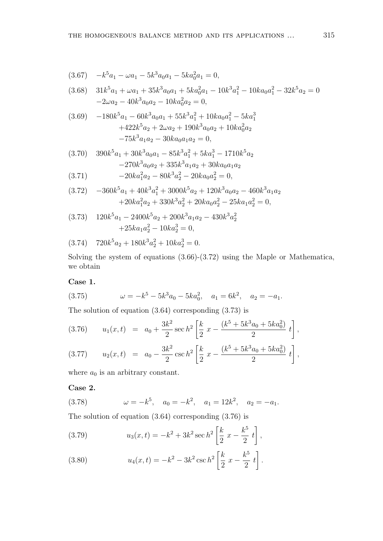$$
(3.67) \quad -k^5 a_1 - \omega a_1 - 5k^3 a_0 a_1 - 5ka_0^2 a_1 = 0,
$$

$$
(3.68) \quad 31k^5a_1 + \omega a_1 + 35k^3a_0a_1 + 5ka_0^2a_1 - 10k^3a_1^2 - 10ka_0a_1^2 - 32k^5a_2 = 0
$$
  

$$
-2\omega a_2 - 40k^3a_0a_2 - 10ka_0^2a_2 = 0,
$$

$$
(3.69) \t -180k5a1 - 60k3a0a1 + 55k3a12 + 10ka0a12 - 5ka13+422k5a2 + 2\omega a2 + 190k3a0a2 + 10ka02a2-75k3a1a2 - 30ka0a1a2 = 0,
$$

$$
(3.70) \quad 390k^5a_1 + 30k^3a_0a_1 - 85k^3a_1^2 + 5ka_1^3 - 1710k^5a_2 - 270k^3a_0a_2 + 335k^3a_1a_2 + 30ka_0a_1a_2
$$

$$
(3.71) \t\t -20ka_1^2a_2 - 80k^3a_2^2 - 20ka_0a_2^2 = 0,
$$

$$
(3.72) \quad -360k^5a_1 + 40k^3a_1^2 + 3000k^5a_2 + 120k^3a_0a_2 - 460k^3a_1a_2
$$
  
+20ka<sub>1</sub><sup>2</sup>a<sub>2</sub> + 330k<sup>3</sup>a<sub>2</sub><sup>2</sup> + 20ka<sub>0</sub>a<sub>2</sub><sup>2</sup> - 25ka<sub>1</sub>a<sub>2</sub><sup>2</sup> = 0,

$$
(3.73) \quad 120k^5a_1 - 2400k^5a_2 + 200k^3a_1a_2 - 430k^3a_2^2
$$

$$
+25ka_1a_2^2 - 10ka_2^3 = 0,
$$

$$
(3.74) \quad 720k^5a_2 + 180k^3a_2^2 + 10ka_2^3 = 0.
$$

Solving the system of equations  $(3.66)-(3.72)$  using the Maple or Mathematica, we obtain

Case 1.

(3.75) 
$$
\omega = -k^5 - 5k^3 a_0 - 5ka_0^2, \quad a_1 = 6k^2, \quad a_2 = -a_1.
$$

The solution of equation  $(3.64)$  corresponding  $(3.73)$  is

$$
(3.76) \t u1(x,t) = a0 + \frac{3k^2}{2} \sec h^2 \left[ \frac{k}{2} x - \frac{(k^5 + 5k^3 a_0 + 5ka_0^2)}{2} t \right],
$$

$$
(3.77) \t u2(x,t) = a0 - \frac{3k^2}{2} \csc h^2 \left[ \frac{k}{2} x - \frac{(k^5 + 5k^3 a_0 + 5ka_0^2)}{2} t \right],
$$

where  $a_0$  is an arbitrary constant.

# Case 2.

(3.78) 
$$
\omega = -k^5
$$
,  $a_0 = -k^2$ ,  $a_1 = 12k^2$ ,  $a_2 = -a_1$ .

The solution of equation  $(3.64)$  corresponding  $(3.76)$  is

(3.79) 
$$
u_3(x,t) = -k^2 + 3k^2 \sec h^2 \left[ \frac{k}{2} x - \frac{k^5}{2} t \right],
$$

(3.80) 
$$
u_4(x,t) = -k^2 - 3k^2 \csc h^2 \left[ \frac{k}{2} x - \frac{k^5}{2} t \right].
$$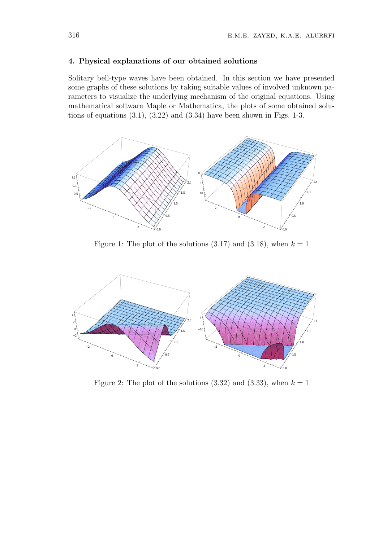### 4. Physical explanations of our obtained solutions

Solitary bell-type waves have been obtained. In this section we have presented some graphs of these solutions by taking suitable values of involved unknown parameters to visualize the underlying mechanism of the original equations. Using mathematical software Maple or Mathematica, the plots of some obtained solutions of equations  $(3.1)$ ,  $(3.22)$  and  $(3.34)$  have been shown in Figs. 1-3.



Figure 1: The plot of the solutions  $(3.17)$  and  $(3.18)$ , when  $k = 1$ 



Figure 2: The plot of the solutions  $(3.32)$  and  $(3.33)$ , when  $k = 1$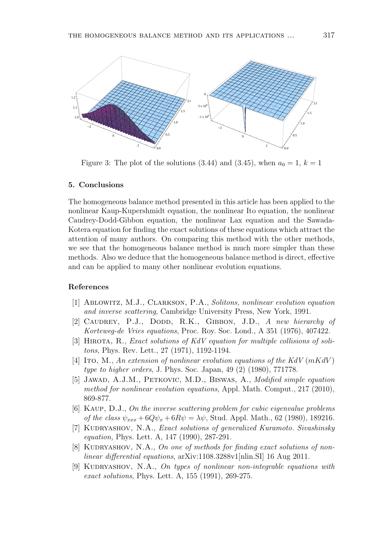

Figure 3: The plot of the solutions (3.44) and (3.45), when  $a_0 = 1, k = 1$ 

#### 5. Conclusions

The homogeneous balance method presented in this article has been applied to the nonlinear Kaup-Kupershmidt equation, the nonlinear Ito equation, the nonlinear Caudrey-Dodd-Gibbon equation, the nonlinear Lax equation and the Sawada-Kotera equation for finding the exact solutions of these equations which attract the attention of many authors. On comparing this method with the other methods, we see that the homogeneous balance method is much more simpler than these methods. Also we deduce that the homogeneous balance method is direct, effective and can be applied to many other nonlinear evolution equations.

### References

- [1] Ablowitz, M.J., Clarkson, P.A., Solitons, nonlinear evolution equation and inverse scattering, Cambridge University Press, New York, 1991.
- [2] CAUDREY, P.J., DODD, R.K., GIBBON, J.D., A new hierarchy of Korteweg-de Vries equations, Proc. Roy. Soc. Lond., A 351 (1976), 407422.
- [3] HIROTA, R., Exact solutions of KdV equation for multiple collisions of solitons, Phys. Rev. Lett., 27 (1971), 1192-1194.
- [4] Ito, M., An extension of nonlinear evolution equations of the KdV  $(mKdV)$ type to higher orders, J. Phys. Soc. Japan, 49 (2) (1980), 771778.
- [5] JAWAD, A.J.M., PETKOVIC, M.D., BISWAS, A., Modified simple equation method for nonlinear evolution equations, Appl. Math. Comput., 217 (2010), 869-877.
- [6] Kaup, D.J., On the inverse scattering problem for cubic eigenvalue problems of the class  $\psi_{xxx} + 6Q\psi_x + 6R\psi = \lambda\psi$ , Stud. Appl. Math., 62 (1980), 189216.
- [7] KUDRYASHOV, N.A., *Exact solutions of generalized Kuramoto. Sivashinsky* equation, Phys. Lett. A, 147 (1990), 287-291.
- [8] KUDRYASHOV, N.A., On one of methods for finding exact solutions of nonlinear differential equations, arXiv:1108.3288v1[nlin.SI] 16 Aug 2011.
- [9] KUDRYASHOV, N.A., On types of nonlinear non-integrable equations with exact solutions, Phys. Lett. A, 155 (1991), 269-275.